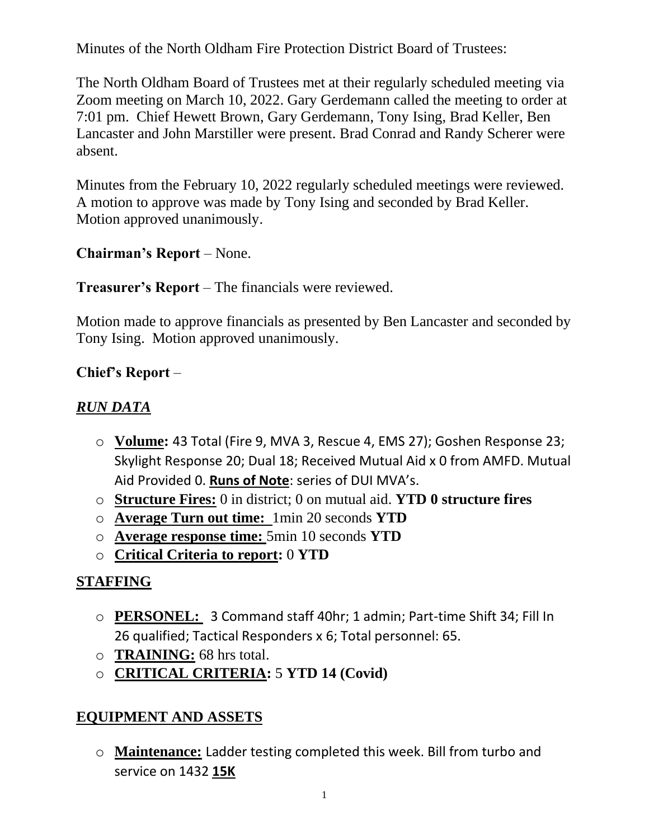Minutes of the North Oldham Fire Protection District Board of Trustees:

The North Oldham Board of Trustees met at their regularly scheduled meeting via Zoom meeting on March 10, 2022. Gary Gerdemann called the meeting to order at 7:01 pm. Chief Hewett Brown, Gary Gerdemann, Tony Ising, Brad Keller, Ben Lancaster and John Marstiller were present. Brad Conrad and Randy Scherer were absent.

Minutes from the February 10, 2022 regularly scheduled meetings were reviewed. A motion to approve was made by Tony Ising and seconded by Brad Keller. Motion approved unanimously.

### **Chairman's Report** – None.

#### **Treasurer's Report** – The financials were reviewed.

Motion made to approve financials as presented by Ben Lancaster and seconded by Tony Ising. Motion approved unanimously.

### **Chief's Report** –

### *RUN DATA*

- o **Volume:** 43 Total (Fire 9, MVA 3, Rescue 4, EMS 27); Goshen Response 23; Skylight Response 20; Dual 18; Received Mutual Aid x 0 from AMFD. Mutual Aid Provided 0. **Runs of Note**: series of DUI MVA's.
- o **Structure Fires:** 0 in district; 0 on mutual aid. **YTD 0 structure fires**
- o **Average Turn out time:** 1min 20 seconds **YTD**
- o **Average response time:** 5min 10 seconds **YTD**
- o **Critical Criteria to report:** 0 **YTD**

# **STAFFING**

- o **PERSONEL:** 3 Command staff 40hr; 1 admin; Part-time Shift 34; Fill In 26 qualified; Tactical Responders x 6; Total personnel: 65.
- o **TRAINING:** 68 hrs total.
- o **CRITICAL CRITERIA:** 5 **YTD 14 (Covid)**

### **EQUIPMENT AND ASSETS**

o **Maintenance:** Ladder testing completed this week. Bill from turbo and service on 1432 **15K**